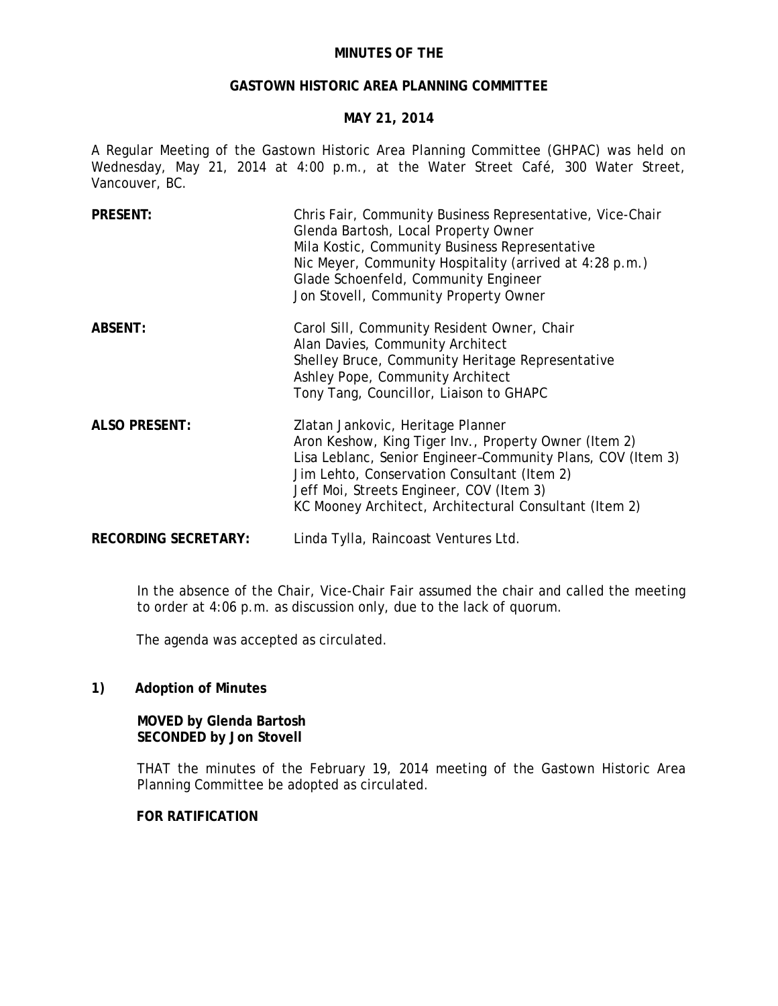## **MINUTES OF THE**

## **GASTOWN HISTORIC AREA PLANNING COMMITTEE**

# **MAY 21, 2014**

A Regular Meeting of the Gastown Historic Area Planning Committee (GHPAC) was held on Wednesday, May 21, 2014 at 4:00 p.m., at the Water Street Café, 300 Water Street, Vancouver, BC.

| <b>PRESENT:</b>             | Chris Fair, Community Business Representative, Vice-Chair<br>Glenda Bartosh, Local Property Owner<br>Mila Kostic, Community Business Representative<br>Nic Meyer, Community Hospitality (arrived at 4:28 p.m.)<br>Glade Schoenfeld, Community Engineer<br>Jon Stovell, Community Property Owner                |
|-----------------------------|----------------------------------------------------------------------------------------------------------------------------------------------------------------------------------------------------------------------------------------------------------------------------------------------------------------|
| <b>ABSENT:</b>              | Carol Sill, Community Resident Owner, Chair<br>Alan Davies, Community Architect<br>Shelley Bruce, Community Heritage Representative<br>Ashley Pope, Community Architect<br>Tony Tang, Councillor, Liaison to GHAPC                                                                                             |
| <b>ALSO PRESENT:</b>        | Zlatan Jankovic, Heritage Planner<br>Aron Keshow, King Tiger Inv., Property Owner (Item 2)<br>Lisa Leblanc, Senior Engineer-Community Plans, COV (Item 3)<br>Jim Lehto, Conservation Consultant (Item 2)<br>Jeff Moi, Streets Engineer, COV (Item 3)<br>KC Mooney Architect, Architectural Consultant (Item 2) |
| <b>RECORDING SECRETARY:</b> | Linda Tylla, Raincoast Ventures Ltd.                                                                                                                                                                                                                                                                           |

In the absence of the Chair, Vice-Chair Fair assumed the chair and called the meeting to order at 4:06 p.m. as discussion only, due to the lack of quorum.

The agenda was accepted as circulated.

#### **1) Adoption of Minutes**

# **MOVED by Glenda Bartosh SECONDED by Jon Stovell**

THAT the minutes of the February 19, 2014 meeting of the Gastown Historic Area Planning Committee be adopted as circulated.

### **FOR RATIFICATION**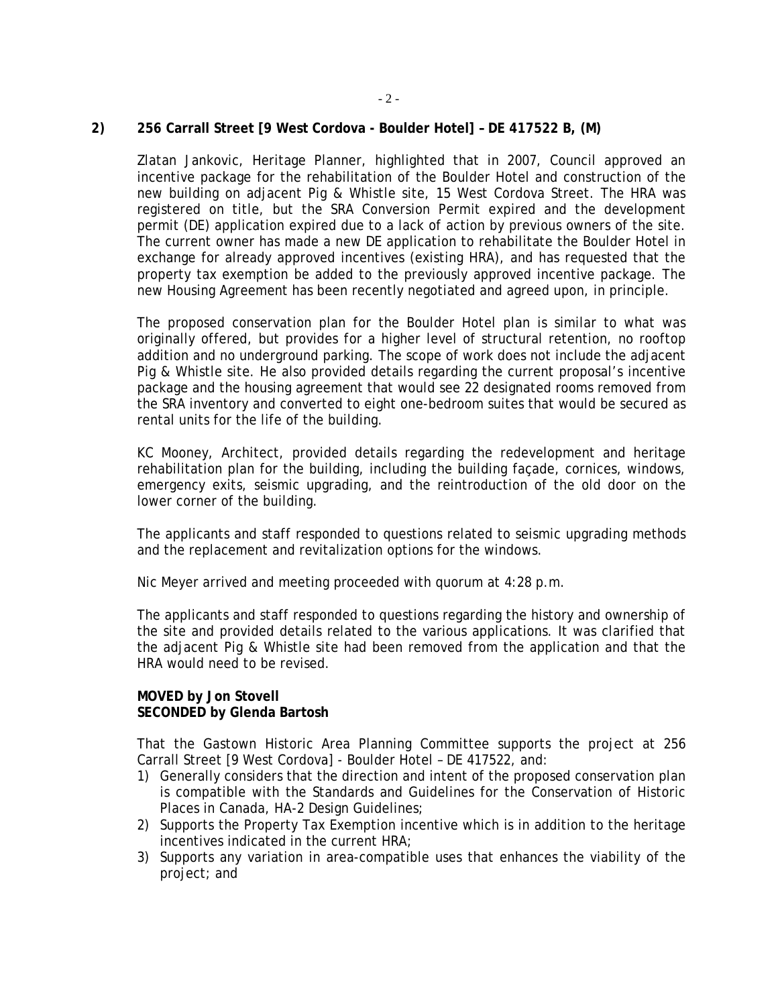## **2) 256 Carrall Street [9 West Cordova - Boulder Hotel] – DE 417522 B, (M)**

Zlatan Jankovic, Heritage Planner, highlighted that in 2007, Council approved an incentive package for the rehabilitation of the Boulder Hotel and construction of the new building on adjacent Pig & Whistle site, 15 West Cordova Street. The HRA was registered on title, but the SRA Conversion Permit expired and the development permit (DE) application expired due to a lack of action by previous owners of the site. The current owner has made a new DE application to rehabilitate the Boulder Hotel in exchange for already approved incentives (existing HRA), and has requested that the property tax exemption be added to the previously approved incentive package. The new Housing Agreement has been recently negotiated and agreed upon, in principle.

The proposed conservation plan for the Boulder Hotel plan is similar to what was originally offered, but provides for a higher level of structural retention, no rooftop addition and no underground parking. The scope of work does not include the adjacent Pig & Whistle site. He also provided details regarding the current proposal's incentive package and the housing agreement that would see 22 designated rooms removed from the SRA inventory and converted to eight one-bedroom suites that would be secured as rental units for the life of the building.

KC Mooney, Architect, provided details regarding the redevelopment and heritage rehabilitation plan for the building, including the building façade, cornices, windows, emergency exits, seismic upgrading, and the reintroduction of the old door on the lower corner of the building.

The applicants and staff responded to questions related to seismic upgrading methods and the replacement and revitalization options for the windows.

Nic Meyer arrived and meeting proceeded with quorum at 4:28 p.m.

The applicants and staff responded to questions regarding the history and ownership of the site and provided details related to the various applications. It was clarified that the adjacent Pig & Whistle site had been removed from the application and that the HRA would need to be revised.

# **MOVED by Jon Stovell SECONDED by Glenda Bartosh**

That the Gastown Historic Area Planning Committee supports the project at 256 Carrall Street [9 West Cordova] - Boulder Hotel – DE 417522, and:

- 1) Generally considers that the direction and intent of the proposed conservation plan is compatible with the Standards and Guidelines for the Conservation of Historic Places in Canada, HA-2 Design Guidelines;
- 2) Supports the Property Tax Exemption incentive which is in addition to the heritage incentives indicated in the current HRA;
- 3) Supports any variation in area-compatible uses that enhances the viability of the project; and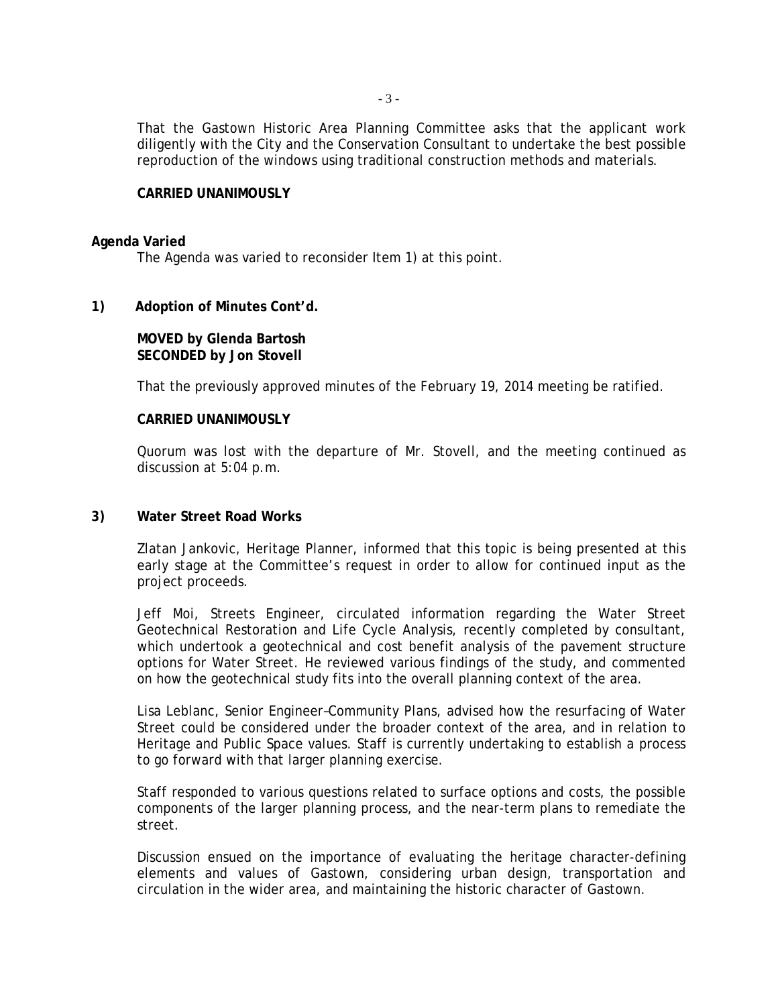That the Gastown Historic Area Planning Committee asks that the applicant work diligently with the City and the Conservation Consultant to undertake the best possible reproduction of the windows using traditional construction methods and materials.

#### **CARRIED UNANIMOUSLY**

#### **Agenda Varied**

The Agenda was varied to reconsider Item 1) at this point.

## **1) Adoption of Minutes Cont'd.**

# **MOVED by Glenda Bartosh SECONDED by Jon Stovell**

That the previously approved minutes of the February 19, 2014 meeting be ratified.

#### **CARRIED UNANIMOUSLY**

Quorum was lost with the departure of Mr. Stovell, and the meeting continued as discussion at 5:04 p.m.

#### **3) Water Street Road Works**

Zlatan Jankovic, Heritage Planner, informed that this topic is being presented at this early stage at the Committee's request in order to allow for continued input as the project proceeds.

Jeff Moi, Streets Engineer, circulated information regarding the Water Street Geotechnical Restoration and Life Cycle Analysis, recently completed by consultant, which undertook a geotechnical and cost benefit analysis of the pavement structure options for Water Street. He reviewed various findings of the study, and commented on how the geotechnical study fits into the overall planning context of the area.

Lisa Leblanc, Senior Engineer–Community Plans, advised how the resurfacing of Water Street could be considered under the broader context of the area, and in relation to Heritage and Public Space values. Staff is currently undertaking to establish a process to go forward with that larger planning exercise.

Staff responded to various questions related to surface options and costs, the possible components of the larger planning process, and the near-term plans to remediate the street.

Discussion ensued on the importance of evaluating the heritage character-defining elements and values of Gastown, considering urban design, transportation and circulation in the wider area, and maintaining the historic character of Gastown.